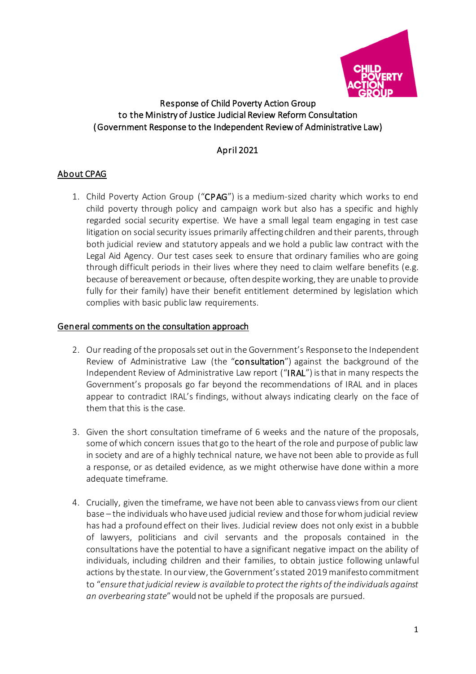

### Response of Child Poverty Action Group to the Ministry of Justice Judicial Review Reform Consultation (Government Response to the Independent Review of Administrative Law)

### April 2021

# About CPAG

1. Child Poverty Action Group ("CPAG") is a medium-sized charity which works to end child poverty through policy and campaign work but also has a specific and highly regarded social security expertise. We have a small legal team engaging in test case litigation on social security issues primarily affecting children and their parents, through both judicial review and statutory appeals and we hold a public law contract with the Legal Aid Agency. Our test cases seek to ensure that ordinary families who are going through difficult periods in their lives where they need to claim welfare benefits (e.g. because of bereavement or because, often despite working, they are unable to provide fully for their family) have their benefit entitlement determined by legislation which complies with basic public law requirements.

#### General comments on the consultation approach

- 2. Our reading of the proposals set out in the Government's Response to the Independent Review of Administrative Law (the "consultation") against the background of the Independent Review of Administrative Law report ("IRAL") is that in many respects the Government's proposals go far beyond the recommendations of IRAL and in places appear to contradict IRAL's findings, without always indicating clearly on the face of them that this is the case.
- 3. Given the short consultation timeframe of 6 weeks and the nature of the proposals, some of which concern issues that go to the heart of the role and purpose of public law in society and are of a highly technical nature, we have not been able to provide as full a response, or as detailed evidence, as we might otherwise have done within a more adequate timeframe.
- 4. Crucially, given the timeframe, we have not been able to canvass views from our client base – the individuals who have used judicial review and those for whom judicial review has had a profound effect on their lives. Judicial review does not only exist in a bubble of lawyers, politicians and civil servants and the proposals contained in the consultations have the potential to have a significant negative impact on the ability of individuals, including children and their families, to obtain justice following unlawful actions by the state. In our view, the Government's stated 2019 manifesto commitment to "*ensure that judicial review is available to protect the rights of the individuals against an overbearing state*" would not be upheld if the proposals are pursued.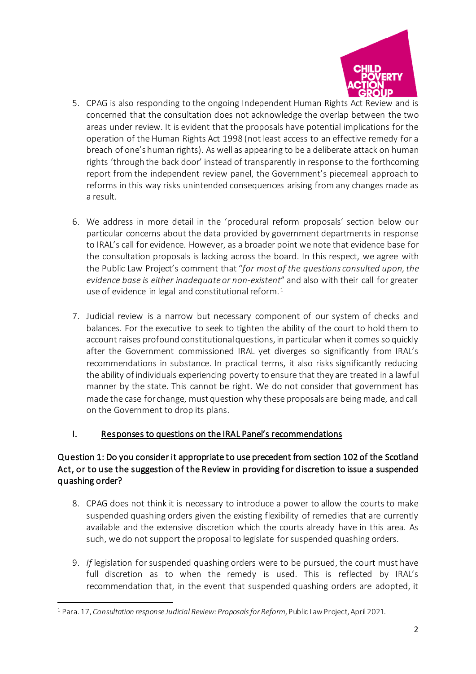

- 5. CPAG is also responding to the ongoing Independent Human Rights Act Review and is concerned that the consultation does not acknowledge the overlap between the two areas under review. It is evident that the proposals have potential implications for the operation of the Human Rights Act 1998 (not least access to an effective remedy for a breach of one's human rights). As well as appearing to be a deliberate attack on human rights 'through the back door' instead of transparently in response to the forthcoming report from the independent review panel, the Government's piecemeal approach to reforms in this way risks unintended consequences arising from any changes made as a result.
- 6. We address in more detail in the 'procedural reform proposals' section below our particular concerns about the data provided by government departments in response to IRAL's call for evidence. However, as a broader point we note that evidence base for the consultation proposals is lacking across the board. In this respect, we agree with the Public Law Project's comment that "*for most of the questions consulted upon, the evidence base is either inadequate or non-existent*" and also with their call for greater use of evidence in legal and constitutional reform.<sup>[1](#page-1-0)</sup>
- 7. Judicial review is a narrow but necessary component of our system of checks and balances. For the executive to seek to tighten the ability of the court to hold them to account raises profound constitutional questions, in particular when it comes so quickly after the Government commissioned IRAL yet diverges so significantly from IRAL's recommendations in substance. In practical terms, it also risks significantly reducing the ability of individuals experiencing poverty to ensure that they are treated in a lawful manner by the state. This cannot be right. We do not consider that government has made the case for change, must question why these proposals are being made, and call on the Government to drop its plans.

# I. Responses to questions on the IRAL Panel's recommendations

## Question 1: Do you consider it appropriate to use precedent from section 102 of the Scotland Act, or to use the suggestion of the Review in providing for discretion to issue a suspended quashing order?

- 8. CPAG does not think it is necessary to introduce a power to allow the courts to make suspended quashing orders given the existing flexibility of remedies that are currently available and the extensive discretion which the courts already have in this area. As such, we do not support the proposal to legislate for suspended quashing orders.
- 9. *If* legislation for suspended quashing orders were to be pursued, the court must have full discretion as to when the remedy is used. This is reflected by IRAL's recommendation that, in the event that suspended quashing orders are adopted, it

<span id="page-1-0"></span><sup>1</sup> Para. 17, *Consultation response Judicial Review: Proposals for Reform*, Public Law Project, April 2021.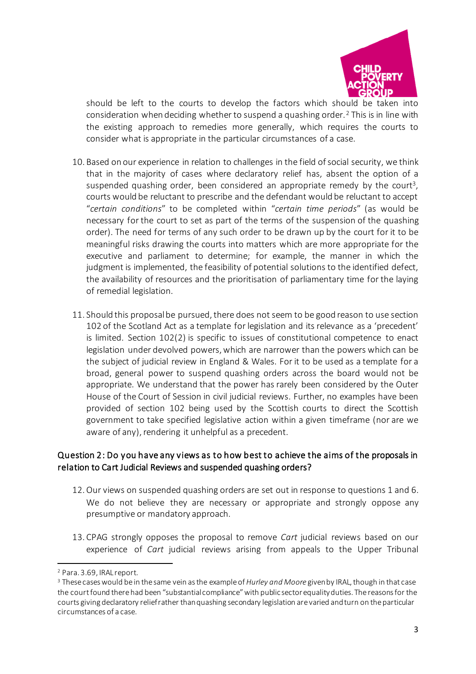

should be left to the courts to develop the factors which should be taken into consideration when deciding whether to suspend a quashing order. [2](#page-2-0) This is in line with the existing approach to remedies more generally, which requires the courts to consider what is appropriate in the particular circumstances of a case.

- 10. Based on our experience in relation to challenges in the field of social security, we think that in the majority of cases where declaratory relief has, absent the option of a suspended quashing order, been considered an appropriate remedy by the court<sup>[3](#page-2-1)</sup>, courts would be reluctant to prescribe and the defendant would be reluctant to accept "*certain conditions*" to be completed within "*certain time periods*" (as would be necessary for the court to set as part of the terms of the suspension of the quashing order). The need for terms of any such order to be drawn up by the court for it to be meaningful risks drawing the courts into matters which are more appropriate for the executive and parliament to determine; for example, the manner in which the judgment is implemented, the feasibility of potential solutions to the identified defect, the availability of resources and the prioritisation of parliamentary time for the laying of remedial legislation.
- 11. Should this proposal be pursued, there does not seem to be good reason to use section 102 of the Scotland Act as a template for legislation and its relevance as a 'precedent' is limited. Section 102(2) is specific to issues of constitutional competence to enact legislation under devolved powers, which are narrower than the powers which can be the subject of judicial review in England & Wales. For it to be used as a template for a broad, general power to suspend quashing orders across the board would not be appropriate. We understand that the power has rarely been considered by the Outer House of the Court of Session in civil judicial reviews. Further, no examples have been provided of section 102 being used by the Scottish courts to direct the Scottish government to take specified legislative action within a given timeframe (nor are we aware of any), rendering it unhelpful as a precedent.

## Question 2: Do you have any views as to how best to achieve the aims of the proposals in relation to Cart Judicial Reviews and suspended quashing orders?

- 12.Our views on suspended quashing orders are set out in response to questions 1 and 6. We do not believe they are necessary or appropriate and strongly oppose any presumptive or mandatory approach.
- 13. CPAG strongly opposes the proposal to remove *Cart* judicial reviews based on our experience of *Cart* judicial reviews arising from appeals to the Upper Tribunal

<span id="page-2-0"></span><sup>2</sup> Para. 3.69, IRAL report.

<span id="page-2-1"></span><sup>3</sup> These cases would be in the same vein as the example of *Hurley and Moore* given by IRAL, though in that case the court found there had been "substantial compliance" with public sector equality duties. The reasons for the courts giving declaratory relief rather than quashing secondary legislation are varied and turn on the particular circumstances of a case.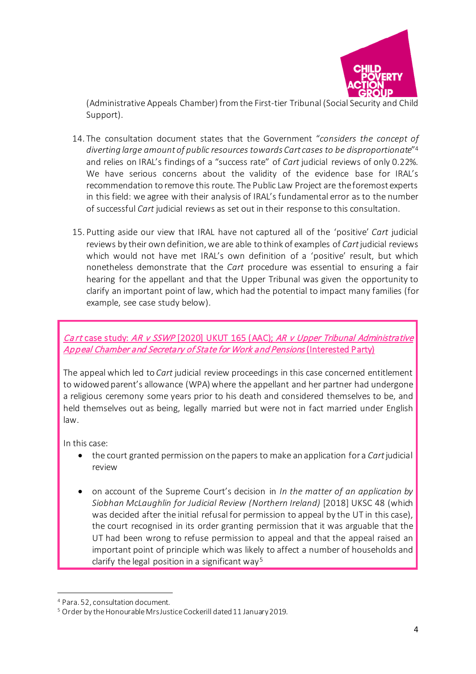

(Administrative Appeals Chamber) from the First-tier Tribunal (Social Security and Child Support).

- 14. The consultation document states that the Government "*considers the concept of diverting large amount of public resources towards Cart cases to be disproportionate*["4](#page-3-0) and relies on IRAL's findings of a "success rate" of *Cart* judicial reviews of only 0.22%. We have serious concerns about the validity of the evidence base for IRAL's recommendation to remove this route. The Public Law Project are the foremost experts in this field: we agree with their analysis of IRAL's fundamental error as to the number of successful *Cart* judicial reviews as set out in their response to this consultation.
- 15. Putting aside our view that IRAL have not captured all of the 'positive' *Cart* judicial reviews by their own definition, we are able to think of examples of *Cart* judicial reviews which would not have met IRAL's own definition of a 'positive' result, but which nonetheless demonstrate that the *Cart* procedure was essential to ensuring a fair hearing for the appellant and that the Upper Tribunal was given the opportunity to clarify an important point of law, which had the potential to impact many families (for example, see case study below).

Cart case study: AR v SSWP [2020] UKUT 165 (AAC); AR v Upper Tribunal Administrative Appeal Chamber and Secretary of State for Work and Pensions (Interested Party)

The appeal which led to *Cart* judicial review proceedings in this case concerned entitlement to widowed parent's allowance (WPA) where the appellant and her partner had undergone a religious ceremony some years prior to his death and considered themselves to be, and held themselves out as being, legally married but were not in fact married under English law.

In this case:

- the court granted permission on the papers to make an application for a *Cart*judicial review
- on account of the Supreme Court's decision in *In the matter of an application by Siobhan McLaughlin for Judicial Review (Northern Ireland)* [2018] UKSC 48 (which was decided after the initial refusal for permission to appeal by the UT in this case), the court recognised in its order granting permission that it was arguable that the UT had been wrong to refuse permission to appeal and that the appeal raised an important point of principle which was likely to affect a number of households and clarify the legal position in a significant way<sup>[5](#page-3-1)</sup>

<span id="page-3-1"></span><span id="page-3-0"></span><sup>&</sup>lt;sup>4</sup> Para. 52, consultation document.<br><sup>5</sup> Order by the Honourable Mrs Justice Cockerill dated 11 January 2019.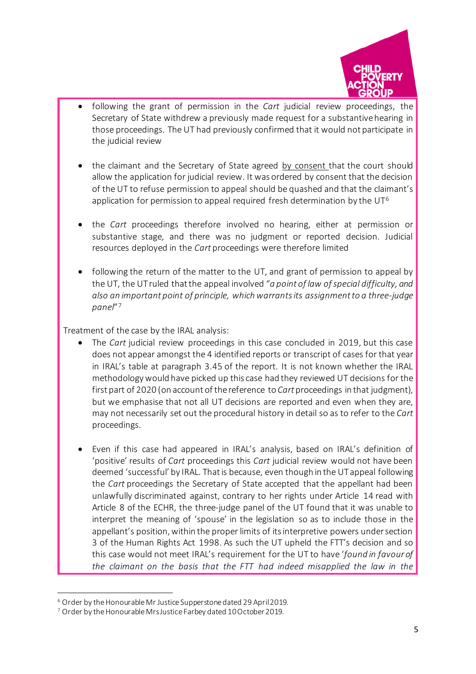

- following the grant of permission in the *Cart* judicial review proceedings, the Secretary of State withdrew a previously made request for a substantive hearing in those proceedings. The UT had previously confirmed that it would not participate in the judicial review
- the claimant and the Secretary of State agreed by consent that the court should allow the application for judicial review. It was ordered by consent that the decision of the UT to refuse permission to appeal should be quashed and that the claimant's application for permission to appeal required fresh determination by the  $UT^6$  $UT^6$
- the *Cart* proceedings therefore involved no hearing, either at permission or substantive stage, and there was no judgment or reported decision. Judicial resources deployed in the *Cart* proceedings were therefore limited
- following the return of the matter to the UT, and grant of permission to appeal by the UT, the UT ruled that the appeal involved "*a point of law of special difficulty, and also an important point of principle, which warrants its assignment to a three-judge panel*"[7](#page-4-1)

Treatment of the case by the IRAL analysis:

- The *Cart* judicial review proceedings in this case concluded in 2019, but this case does not appear amongst the 4 identified reports or transcript of cases for that year in IRAL's table at paragraph 3.45 of the report. It is not known whether the IRAL methodology would have picked up this case had they reviewed UT decisions for the first part of 2020 (on account of the reference to *Cart* proceedings in that judgment), but we emphasise that not all UT decisions are reported and even when they are, may not necessarily set out the procedural history in detail so as to refer to the *Cart*  proceedings.
- Even if this case had appeared in IRAL's analysis, based on IRAL's definition of 'positive' results of *Cart* proceedings this *Cart* judicial review would not have been deemed 'successful' by IRAL. That is because, even though in the UT appeal following the *Cart* proceedings the Secretary of State accepted that the appellant had been unlawfully discriminated against, contrary to her rights under Article 14 read with Article 8 of the ECHR, the three-judge panel of the UT found that it was unable to interpret the meaning of 'spouse' in the legislation so as to include those in the appellant's position, within the proper limits of its interpretive powers under section 3 of the Human Rights Act 1998. As such the UT upheld the FTT's decision and so this case would not meet IRAL's requirement for the UT to have '*found in favour of the claimant on the basis that the FTT had indeed misapplied the law in the*

<span id="page-4-0"></span> $6$  Order by the Honourable Mr Justice Supperstone dated 29 April 2019.<br><sup>7</sup> Order by the Honourable Mrs Justice Farbey dated 10 October 2019.

<span id="page-4-1"></span>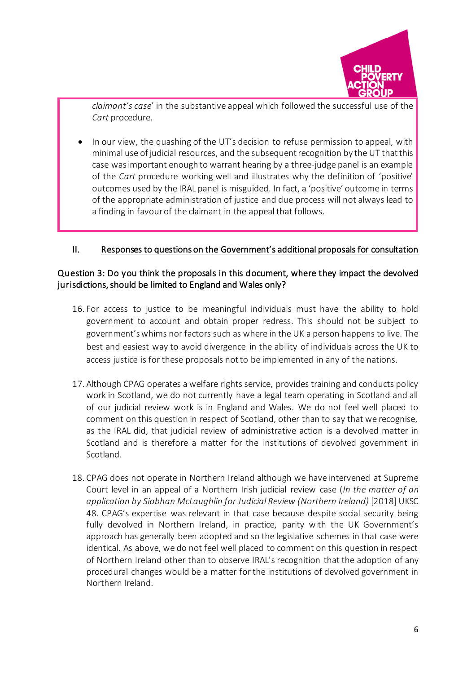

*claimant's case*' in the substantive appeal which followed the successful use of the *Cart* procedure.

In our view, the quashing of the UT's decision to refuse permission to appeal, with minimal use of judicial resources, and the subsequent recognition by the UT that this case was important enough to warrant hearing by a three-judge panel is an example of the *Cart* procedure working well and illustrates why the definition of 'positive' outcomes used by the IRAL panel is misguided. In fact, a 'positive' outcome in terms of the appropriate administration of justice and due process will not always lead to a finding in favour of the claimant in the appeal that follows.

### II. Responses to questions on the Government's additional proposals for consultation

### Question 3: Do you think the proposals in this document, where they impact the devolved jurisdictions, should be limited to England and Wales only?

- 16. For access to justice to be meaningful individuals must have the ability to hold government to account and obtain proper redress. This should not be subject to government's whims nor factors such as where in the UK a person happens to live. The best and easiest way to avoid divergence in the ability of individuals across the UK to access justice is for these proposals not to be implemented in any of the nations.
- 17. Although CPAG operates a welfare rights service, provides training and conducts policy work in Scotland, we do not currently have a legal team operating in Scotland and all of our judicial review work is in England and Wales. We do not feel well placed to comment on this question in respect of Scotland, other than to say that we recognise, as the IRAL did, that judicial review of administrative action is a devolved matter in Scotland and is therefore a matter for the institutions of devolved government in Scotland.
- 18. CPAG does not operate in Northern Ireland although we have intervened at Supreme Court level in an appeal of a Northern Irish judicial review case (*In the matter of an application by Siobhan McLaughlin for Judicial Review (Northern Ireland)* [2018] UKSC 48. CPAG's expertise was relevant in that case because despite social security being fully devolved in Northern Ireland, in practice, parity with the UK Government's approach has generally been adopted and so the legislative schemes in that case were identical. As above, we do not feel well placed to comment on this question in respect of Northern Ireland other than to observe IRAL's recognition that the adoption of any procedural changes would be a matter for the institutions of devolved government in Northern Ireland.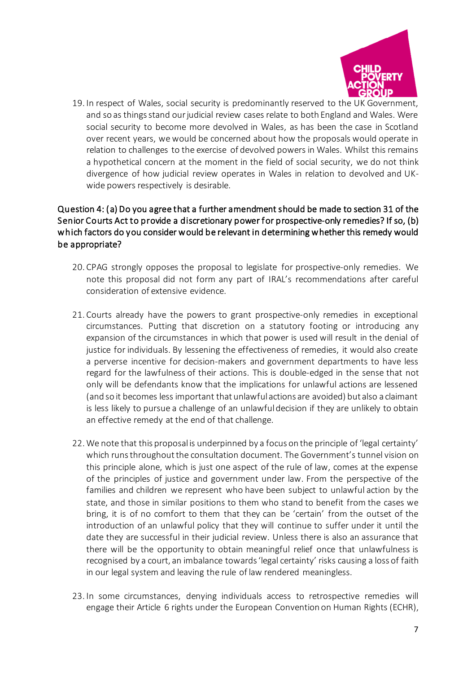

19. In respect of Wales, social security is predominantly reserved to the UK Government, and so as things stand our judicial review cases relate to both England and Wales. Were social security to become more devolved in Wales, as has been the case in Scotland over recent years, we would be concerned about how the proposals would operate in relation to challenges to the exercise of devolved powers in Wales. Whilst this remains a hypothetical concern at the moment in the field of social security, we do not think divergence of how judicial review operates in Wales in relation to devolved and UKwide powers respectively is desirable.

## Question 4: (a) Do you agree that a further amendment should be made to section 31 of the Senior Courts Act to provide a discretionary power for prospective-only remedies? If so, (b) which factors do you consider would be relevant in determining whether this remedy would be appropriate?

- 20. CPAG strongly opposes the proposal to legislate for prospective-only remedies. We note this proposal did not form any part of IRAL's recommendations after careful consideration of extensive evidence.
- 21. Courts already have the powers to grant prospective-only remedies in exceptional circumstances. Putting that discretion on a statutory footing or introducing any expansion of the circumstances in which that power is used will result in the denial of justice for individuals. By lessening the effectiveness of remedies, it would also create a perverse incentive for decision-makers and government departments to have less regard for the lawfulness of their actions. This is double-edged in the sense that not only will be defendants know that the implications for unlawful actions are lessened (and so it becomes less important that unlawful actions are avoided) but also a claimant is less likely to pursue a challenge of an unlawful decision if they are unlikely to obtain an effective remedy at the end of that challenge.
- 22. We note that this proposal is underpinned by a focus on the principle of 'legal certainty' which runs throughout the consultation document. The Government's tunnel vision on this principle alone, which is just one aspect of the rule of law, comes at the expense of the principles of justice and government under law. From the perspective of the families and children we represent who have been subject to unlawful action by the state, and those in similar positions to them who stand to benefit from the cases we bring, it is of no comfort to them that they can be 'certain' from the outset of the introduction of an unlawful policy that they will continue to suffer under it until the date they are successful in their judicial review. Unless there is also an assurance that there will be the opportunity to obtain meaningful relief once that unlawfulness is recognised by a court, an imbalance towards 'legal certainty' risks causing a loss of faith in our legal system and leaving the rule of law rendered meaningless.
- 23. In some circumstances, denying individuals access to retrospective remedies will engage their Article 6 rights under the European Convention on Human Rights (ECHR),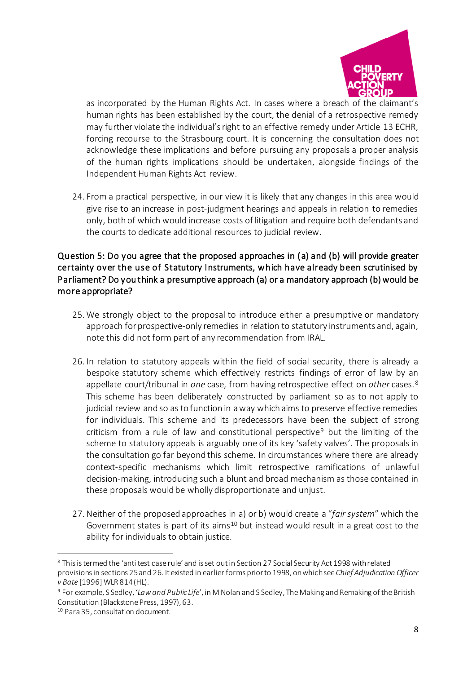

as incorporated by the Human Rights Act. In cases where a breach of the claimant's human rights has been established by the court, the denial of a retrospective remedy may further violate the individual'sright to an effective remedy under Article 13 ECHR, forcing recourse to the Strasbourg court. It is concerning the consultation does not acknowledge these implications and before pursuing any proposals a proper analysis of the human rights implications should be undertaken, alongside findings of the Independent Human Rights Act review.

24. From a practical perspective, in our view it is likely that any changes in this area would give rise to an increase in post-judgment hearings and appeals in relation to remedies only, both of which would increase costs of litigation and require both defendants and the courts to dedicate additional resources to judicial review.

## Question 5: Do you agree that the proposed approaches in (a) and (b) will provide greater certainty over the use of Statutory Instruments, which have already been scrutinised by Parliament? Do you think a presumptive approach (a) or a mandatory approach (b) would be more appropriate?

- 25. We strongly object to the proposal to introduce either a presumptive or mandatory approach for prospective-only remedies in relation to statutory instruments and, again, note this did not form part of any recommendation from IRAL.
- 26. In relation to statutory appeals within the field of social security, there is already a bespoke statutory scheme which effectively restricts findings of error of law by an appellate court/tribunal in *one* case, from having retrospective effect on *other* cases. [8](#page-7-0) This scheme has been deliberately constructed by parliament so as to not apply to judicial review and so as to function in a way which aims to preserve effective remedies for individuals. This scheme and its predecessors have been the subject of strong criticism from a rule of law and constitutional perspective<sup>[9](#page-7-1)</sup> but the limiting of the scheme to statutory appeals is arguably one of its key 'safety valves'. The proposals in the consultation go far beyond this scheme. In circumstances where there are already context-specific mechanisms which limit retrospective ramifications of unlawful decision-making, introducing such a blunt and broad mechanism as those contained in these proposals would be wholly disproportionate and unjust.
- 27.Neither of the proposed approaches in a) or b) would create a "*fair system*" which the Government states is part of its aims<sup>[10](#page-7-2)</sup> but instead would result in a great cost to the ability for individuals to obtain justice.

<span id="page-7-0"></span><sup>8</sup> This is termed the 'anti test case rule' and is set out in Section 27 Social Security Act 1998 withrelated provisions in sections 25 and 26. It existed in earlier forms prior to 1998, on which see *Chief Adjudication Officer v Bate* [1996] WLR 814 (HL).

<span id="page-7-1"></span><sup>9</sup> For example, S Sedley, '*Law and Public Life*', in M Nolan and S Sedley, The Making and Remaking of the British Constitution (Blackstone Press, 1997), 63.

<span id="page-7-2"></span><sup>10</sup> Para 35, consultation document.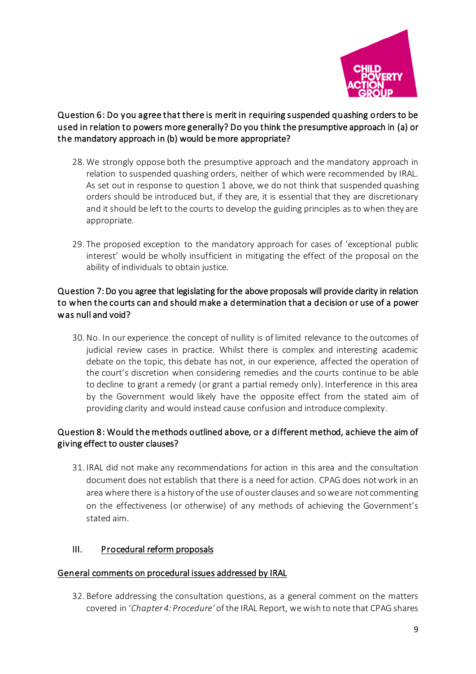

## Question 6: Do you agree that there is merit in requiring suspended quashing orders to be used in relation to powers more generally? Do you think the presumptive approach in (a) or the mandatory approach in (b) would be more appropriate?

- 28. We strongly oppose both the presumptive approach and the mandatory approach in relation to suspended quashing orders, neither of which were recommended by IRAL. As set out in response to question 1 above, we do not think that suspended quashing orders should be introduced but, if they are, it is essential that they are discretionary and it should be left to the courts to develop the guiding principles as to when they are appropriate.
- 29. The proposed exception to the mandatory approach for cases of 'exceptional public interest' would be wholly insufficient in mitigating the effect of the proposal on the ability of individuals to obtain justice.

### Question 7: Do you agree that legislating for the above proposals will provide clarity in relation to when the courts can and should make a determination that a decision or use of a power was null and void?

30.No. In our experience the concept of nullity is of limited relevance to the outcomes of judicial review cases in practice. Whilst there is complex and interesting academic debate on the topic, this debate has not, in our experience, affected the operation of the court's discretion when considering remedies and the courts continue to be able to decline to grant a remedy (or grant a partial remedy only). Interference in this area by the Government would likely have the opposite effect from the stated aim of providing clarity and would instead cause confusion and introduce complexity.

## Question 8: Would the methods outlined above, or a different method, achieve the aim of giving effect to ouster clauses?

31. IRAL did not make any recommendations for action in this area and the consultation document does not establish that there is a need for action. CPAG does not work in an area where there is a history of the use of ouster clauses and so we are not commenting on the effectiveness (or otherwise) of any methods of achieving the Government's stated aim.

## III. Procedural reform proposals

#### General comments on procedural issues addressed by IRAL

32. Before addressing the consultation questions, as a general comment on the matters covered in '*Chapter 4: Procedure'* of the IRAL Report, we wish to note that CPAG shares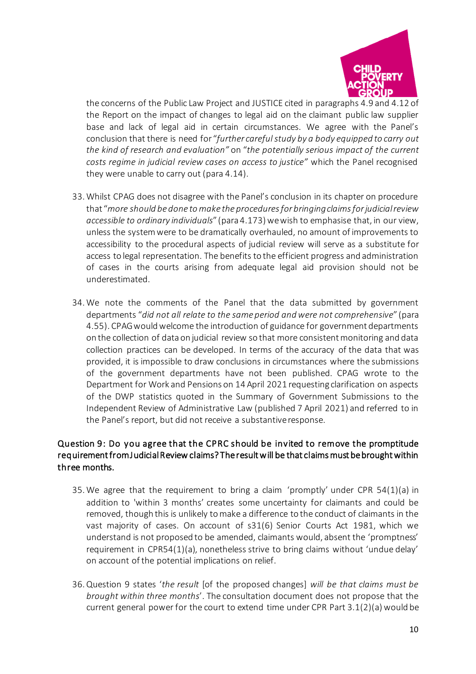

the concerns of the Public Law Project and JUSTICE cited in paragraphs 4.9 and 4.12 of the Report on the impact of changes to legal aid on the claimant public law supplier base and lack of legal aid in certain circumstances. We agree with the Panel's conclusion that there is need for "*further careful study by a body equipped to carry out the kind of research and evaluation"* on "*the potentially serious impact of the current costs regime in judicial review cases on access to justice"* which the Panel recognised they were unable to carry out (para 4.14).

- 33. Whilst CPAG does not disagree with the Panel's conclusion in its chapter on procedure that "*more should be done to make the procedures for bringing claims for judicial review accessible to ordinary individuals*" (para 4.173) we wish to emphasise that, in our view, unless the system were to be dramatically overhauled, no amount of improvements to accessibility to the procedural aspects of judicial review will serve as a substitute for access to legal representation. The benefits to the efficient progress and administration of cases in the courts arising from adequate legal aid provision should not be underestimated.
- 34. We note the comments of the Panel that the data submitted by government departments "*did not all relate to the same period and were not comprehensive*" (para 4.55). CPAG would welcome the introduction of guidance for government departments on the collection of data on judicial review so that more consistent monitoring and data collection practices can be developed. In terms of the accuracy of the data that was provided, it is impossible to draw conclusions in circumstances where the submissions of the government departments have not been published. CPAG wrote to the Department for Work and Pensions on 14 April 2021 requesting clarification on aspects of the DWP statistics quoted in the Summary of Government Submissions to the Independent Review of Administrative Law (published 7 April 2021) and referred to in the Panel's report, but did not receive a substantive response.

## Question 9: Do you agree that the CPRC should be invited to remove the promptitude requirement from Judicial Review claims? The result will be that claims must be brought within three months.

- 35. We agree that the requirement to bring a claim 'promptly' under CPR 54(1)(a) in addition to 'within 3 months' creates some uncertainty for claimants and could be removed, though this is unlikely to make a difference to the conduct of claimants in the vast majority of cases. On account of s31(6) Senior Courts Act 1981, which we understand is not proposed to be amended, claimants would, absent the 'promptness' requirement in CPR54(1)(a), nonetheless strive to bring claims without 'undue delay' on account of the potential implications on relief.
- 36.Question 9 states '*the result* [of the proposed changes] *will be that claims must be brought within three months*'. The consultation document does not propose that the current general power for the court to extend time under CPR Part 3.1(2)(a) would be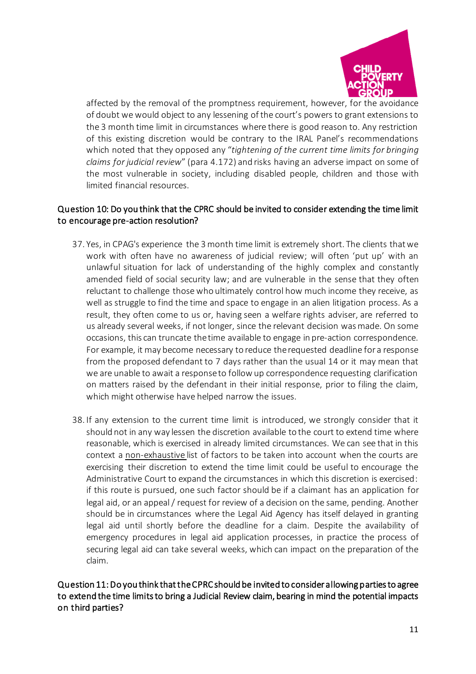

affected by the removal of the promptness requirement, however, for the avoidance of doubt we would object to any lessening of the court's powers to grant extensions to the 3 month time limit in circumstances where there is good reason to. Any restriction of this existing discretion would be contrary to the IRAL Panel's recommendations which noted that they opposed any "*tightening of the current time limits for bringing claims for judicial review*" (para 4.172) and risks having an adverse impact on some of the most vulnerable in society, including disabled people, children and those with limited financial resources.

## Question 10: Do you think that the CPRC should be invited to consider extending the time limit to encourage pre-action resolution?

- 37. Yes, in CPAG's experience the 3 month time limit is extremely short. The clients that we work with often have no awareness of judicial review; will often 'put up' with an unlawful situation for lack of understanding of the highly complex and constantly amended field of social security law; and are vulnerable in the sense that they often reluctant to challenge those who ultimately control how much income they receive, as well as struggle to find the time and space to engage in an alien litigation process. As a result, they often come to us or, having seen a welfare rights adviser, are referred to us already several weeks, if not longer, since the relevant decision was made. On some occasions, this can truncate the time available to engage in pre-action correspondence. For example, it may become necessary to reduce the requested deadline for a response from the proposed defendant to 7 days rather than the usual 14 or it may mean that we are unable to await a response to follow up correspondence requesting clarification on matters raised by the defendant in their initial response, prior to filing the claim, which might otherwise have helped narrow the issues.
- 38. If any extension to the current time limit is introduced, we strongly consider that it should not in any way lessen the discretion available to the court to extend time where reasonable, which is exercised in already limited circumstances. We can see that in this context a non-exhaustive list of factors to be taken into account when the courts are exercising their discretion to extend the time limit could be useful to encourage the Administrative Court to expand the circumstances in which this discretion is exercised: if this route is pursued, one such factor should be if a claimant has an application for legal aid, or an appeal / request for review of a decision on the same, pending. Another should be in circumstances where the Legal Aid Agency has itself delayed in granting legal aid until shortly before the deadline for a claim. Despite the availability of emergency procedures in legal aid application processes, in practice the process of securing legal aid can take several weeks, which can impact on the preparation of the claim.

### Question 11: Do you think that the CPRC should be invited to consider allowing parties to agree to extend the time limits to bring a Judicial Review claim, bearing in mind the potential impacts on third parties?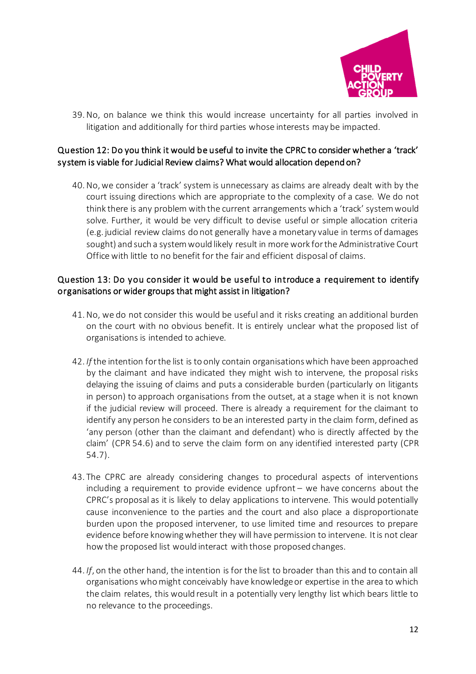

39.No, on balance we think this would increase uncertainty for all parties involved in litigation and additionally for third parties whose interests may be impacted.

## Question 12: Do you think it would be useful to invite the CPRC to consider whether a 'track' system is viable for Judicial Review claims? What would allocation depend on?

40.No, we consider a 'track' system is unnecessary as claims are already dealt with by the court issuing directions which are appropriate to the complexity of a case. We do not think there is any problem with the current arrangements which a 'track' system would solve. Further, it would be very difficult to devise useful or simple allocation criteria (e.g. judicial review claims do not generally have a monetary value in terms of damages sought) and such a system would likely result in more work for the Administrative Court Office with little to no benefit for the fair and efficient disposal of claims.

### Question 13: Do you consider it would be useful to introduce a requirement to identify organisations or wider groups that might assist in litigation?

- 41.No, we do not consider this would be useful and it risks creating an additional burden on the court with no obvious benefit. It is entirely unclear what the proposed list of organisations is intended to achieve.
- 42. *If* the intention for the list is to only contain organisations which have been approached by the claimant and have indicated they might wish to intervene, the proposal risks delaying the issuing of claims and puts a considerable burden (particularly on litigants in person) to approach organisations from the outset, at a stage when it is not known if the judicial review will proceed. There is already a requirement for the claimant to identify any person he considers to be an interested party in the claim form, defined as 'any person (other than the claimant and defendant) who is directly affected by the claim' (CPR 54.6) and to serve the claim form on any identified interested party (CPR 54.7).
- 43. The CPRC are already considering changes to procedural aspects of interventions including a requirement to provide evidence upfront – we have concerns about the CPRC's proposal as it is likely to delay applications to intervene. This would potentially cause inconvenience to the parties and the court and also place a disproportionate burden upon the proposed intervener, to use limited time and resources to prepare evidence before knowing whether they will have permission to intervene. It is not clear how the proposed list would interact with those proposed changes.
- 44. *If*, on the other hand, the intention is for the list to broader than this and to contain all organisations who might conceivably have knowledge or expertise in the area to which the claim relates, this would result in a potentially very lengthy list which bears little to no relevance to the proceedings.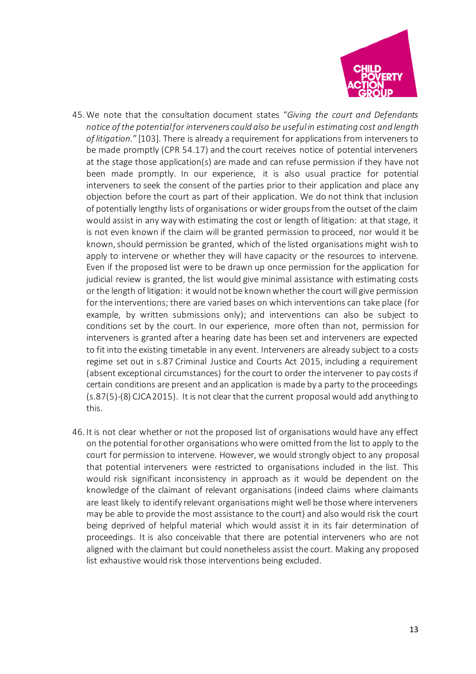

- 45. We note that the consultation document states "*Giving the court and Defendants notice of the potential for interveners could also be useful in estimating cost and length of litigation.*" [103]. There is already a requirement for applications from interveners to be made promptly (CPR 54.17) and the court receives notice of potential interveners at the stage those application(s) are made and can refuse permission if they have not been made promptly. In our experience, it is also usual practice for potential interveners to seek the consent of the parties prior to their application and place any objection before the court as part of their application. We do not think that inclusion of potentially lengthy lists of organisations or wider groups from the outset of the claim would assist in any way with estimating the cost or length of litigation: at that stage, it is not even known if the claim will be granted permission to proceed, nor would it be known, should permission be granted, which of the listed organisations might wish to apply to intervene or whether they will have capacity or the resources to intervene. Even if the proposed list were to be drawn up once permission for the application for judicial review is granted, the list would give minimal assistance with estimating costs or the length of litigation: it would not be known whether the court will give permission for the interventions; there are varied bases on which interventions can take place (for example, by written submissions only); and interventions can also be subject to conditions set by the court. In our experience, more often than not, permission for interveners is granted after a hearing date has been set and interveners are expected to fit into the existing timetable in any event. Interveners are already subject to a costs regime set out in s.87 Criminal Justice and Courts Act 2015, including a requirement (absent exceptional circumstances) for the court to order the intervener to pay costs if certain conditions are present and an application is made by a party to the proceedings (s.87(5)-(8) CJCA 2015). It is not clear that the current proposal would add anything to this.
- 46. It is not clear whether or not the proposed list of organisations would have any effect on the potential for other organisations who were omitted from the list to apply to the court for permission to intervene. However, we would strongly object to any proposal that potential interveners were restricted to organisations included in the list. This would risk significant inconsistency in approach as it would be dependent on the knowledge of the claimant of relevant organisations (indeed claims where claimants are least likely to identify relevant organisations might well be those where interveners may be able to provide the most assistance to the court) and also would risk the court being deprived of helpful material which would assist it in its fair determination of proceedings. It is also conceivable that there are potential interveners who are not aligned with the claimant but could nonetheless assist the court. Making any proposed list exhaustive would risk those interventions being excluded.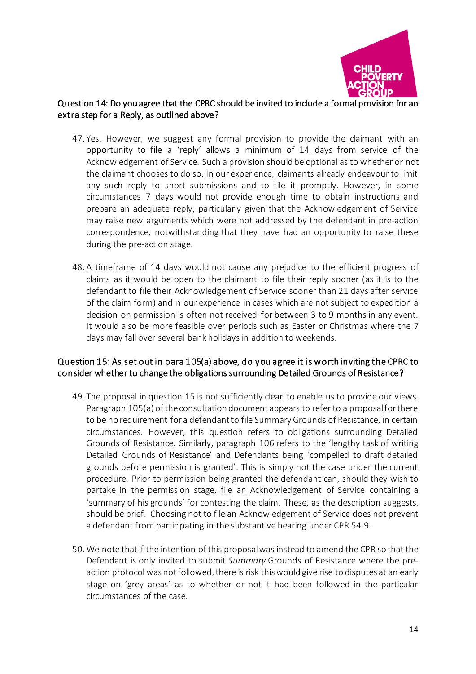

#### Question 14: Do you agree that the CPRC should be invited to include a formal provision for an extra step for a Reply, as outlined above?

- 47. Yes. However, we suggest any formal provision to provide the claimant with an opportunity to file a 'reply' allows a minimum of 14 days from service of the Acknowledgement of Service. Such a provision should be optional as to whether or not the claimant chooses to do so. In our experience, claimants already endeavour to limit any such reply to short submissions and to file it promptly. However, in some circumstances 7 days would not provide enough time to obtain instructions and prepare an adequate reply, particularly given that the Acknowledgement of Service may raise new arguments which were not addressed by the defendant in pre-action correspondence, notwithstanding that they have had an opportunity to raise these during the pre-action stage.
- 48. A timeframe of 14 days would not cause any prejudice to the efficient progress of claims as it would be open to the claimant to file their reply sooner (as it is to the defendant to file their Acknowledgement of Service sooner than 21 days after service of the claim form) and in our experience in cases which are not subject to expedition a decision on permission is often not received for between 3 to 9 months in any event. It would also be more feasible over periods such as Easter or Christmas where the 7 days may fall over several bank holidays in addition to weekends.

### Question 15: As set out in para 105(a) above, do you agree it is worth inviting the CPRC to consider whether to change the obligations surrounding Detailed Grounds of Resistance?

- 49. The proposal in question 15 is not sufficiently clear to enable us to provide our views. Paragraph 105(a) of the consultation document appears to refer to a proposal for there to be no requirement for a defendant to file Summary Grounds of Resistance, in certain circumstances. However, this question refers to obligations surrounding Detailed Grounds of Resistance. Similarly, paragraph 106 refers to the 'lengthy task of writing Detailed Grounds of Resistance' and Defendants being 'compelled to draft detailed grounds before permission is granted'. This is simply not the case under the current procedure. Prior to permission being granted the defendant can, should they wish to partake in the permission stage, file an Acknowledgement of Service containing a 'summary of his grounds' for contesting the claim. These, as the description suggests, should be brief. Choosing not to file an Acknowledgement of Service does not prevent a defendant from participating in the substantive hearing under CPR 54.9.
- 50. We note that if the intention of this proposalwas instead to amend the CPR so that the Defendant is only invited to submit *Summary* Grounds of Resistance where the preaction protocol was not followed, there is risk thiswould give rise to disputes at an early stage on 'grey areas' as to whether or not it had been followed in the particular circumstances of the case.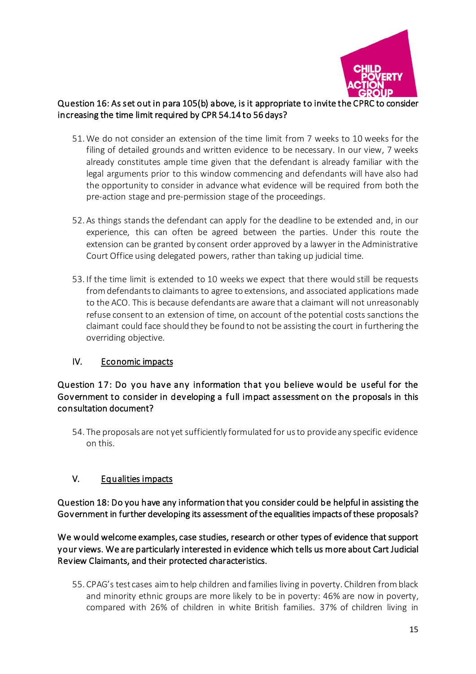

### Question 16: As set out in para 105(b) above, is it appropriate to invite the CPRC to consider increasing the time limit required by CPR 54.14 to 56 days?

- 51. We do not consider an extension of the time limit from 7 weeks to 10 weeks for the filing of detailed grounds and written evidence to be necessary. In our view, 7 weeks already constitutes ample time given that the defendant is already familiar with the legal arguments prior to this window commencing and defendants will have also had the opportunity to consider in advance what evidence will be required from both the pre-action stage and pre-permission stage of the proceedings.
- 52. As things stands the defendant can apply for the deadline to be extended and, in our experience, this can often be agreed between the parties. Under this route the extension can be granted by consent order approved by a lawyer in the Administrative Court Office using delegated powers, rather than taking up judicial time.
- 53. If the time limit is extended to 10 weeks we expect that there would still be requests from defendants to claimants to agree to extensions, and associated applications made to the ACO. This is because defendants are aware that a claimant will not unreasonably refuse consent to an extension of time, on account of the potential costs sanctions the claimant could face should they be found to not be assisting the court in furthering the overriding objective.

## IV. Economic impacts

### Question 17: Do you have any information that you believe would be useful for the Government to consider in developing a full impact assessment on the proposals in this consultation document?

54. The proposals are not yet sufficiently formulated for us to provide any specific evidence on this.

## V. Equalities impacts

Question 18: Do you have any information that you consider could be helpful in assisting the Government in further developing its assessment of the equalities impacts of these proposals?

We would welcome examples, case studies, research or other types of evidence that support your views. We are particularly interested in evidence which tells us more about Cart Judicial Review Claimants, and their protected characteristics.

55. CPAG's test cases aim to help children and families living in poverty. Children from black and minority ethnic groups are more likely to be in poverty: 46% are now in poverty, compared with 26% of children in white British families. 37% of children living in